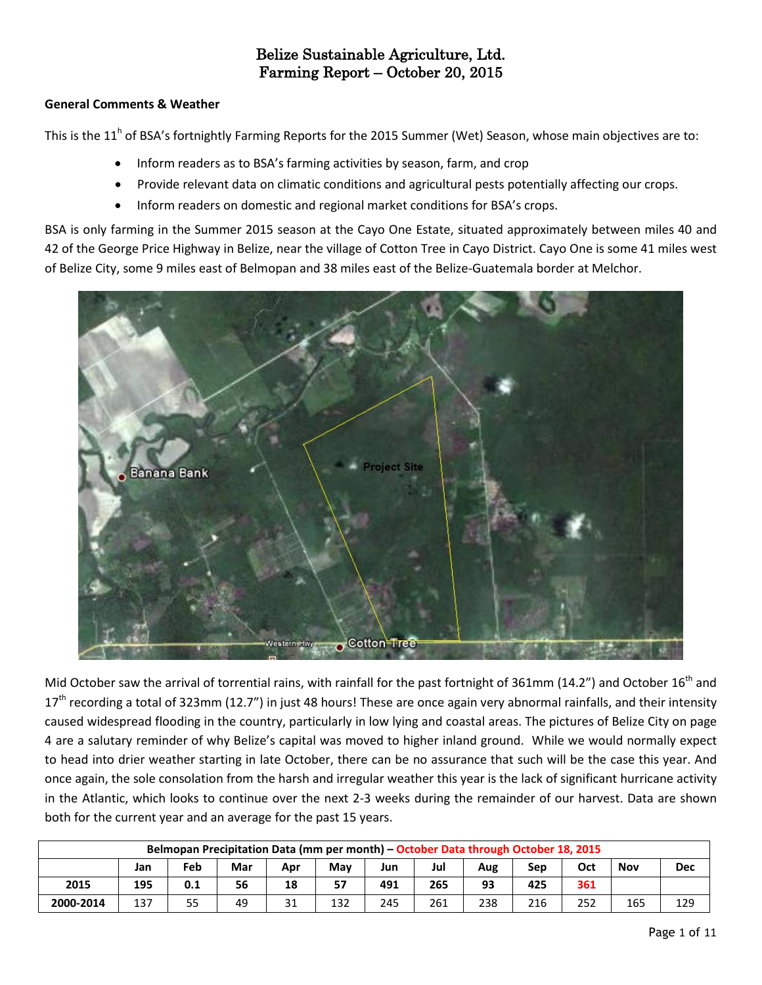#### **General Comments & Weather**

This is the 11<sup>h</sup> of BSA's fortnightly Farming Reports for the 2015 Summer (Wet) Season, whose main objectives are to:

- Inform readers as to BSA's farming activities by season, farm, and crop
- Provide relevant data on climatic conditions and agricultural pests potentially affecting our crops.
- Inform readers on domestic and regional market conditions for BSA's crops.

BSA is only farming in the Summer 2015 season at the Cayo One Estate, situated approximately between miles 40 and 42 of the George Price Highway in Belize, near the village of Cotton Tree in Cayo District. Cayo One is some 41 miles west of Belize City, some 9 miles east of Belmopan and 38 miles east of the Belize-Guatemala border at Melchor.



Mid October saw the arrival of torrential rains, with rainfall for the past fortnight of 361mm (14.2") and October 16<sup>th</sup> and  $17<sup>th</sup>$  recording a total of 323mm (12.7") in just 48 hours! These are once again very abnormal rainfalls, and their intensity caused widespread flooding in the country, particularly in low lying and coastal areas. The pictures of Belize City on page 4 are a salutary reminder of why Belize's capital was moved to higher inland ground. While we would normally expect to head into drier weather starting in late October, there can be no assurance that such will be the case this year. And once again, the sole consolation from the harsh and irregular weather this year is the lack of significant hurricane activity in the Atlantic, which looks to continue over the next 2-3 weeks during the remainder of our harvest. Data are shown both for the current year and an average for the past 15 years.

| Belmopan Precipitation Data (mm per month) - October Data through October 18, 2015 |     |     |     |     |     |     |     |     |     |     |     |            |  |
|------------------------------------------------------------------------------------|-----|-----|-----|-----|-----|-----|-----|-----|-----|-----|-----|------------|--|
|                                                                                    | Jan | Feb | Mar | Apr | Mav | Jun | Jul | Aug | Sep | Oct | Nov | <b>Dec</b> |  |
| 2015                                                                               | 195 | 0.1 | 56  | 18  | 57  | 491 | 265 | 93  | 425 | 361 |     |            |  |
| 2000-2014                                                                          | 137 | 55  | 49  | 31  | 132 | 245 | 261 | 238 | 216 | 252 | 165 | 129        |  |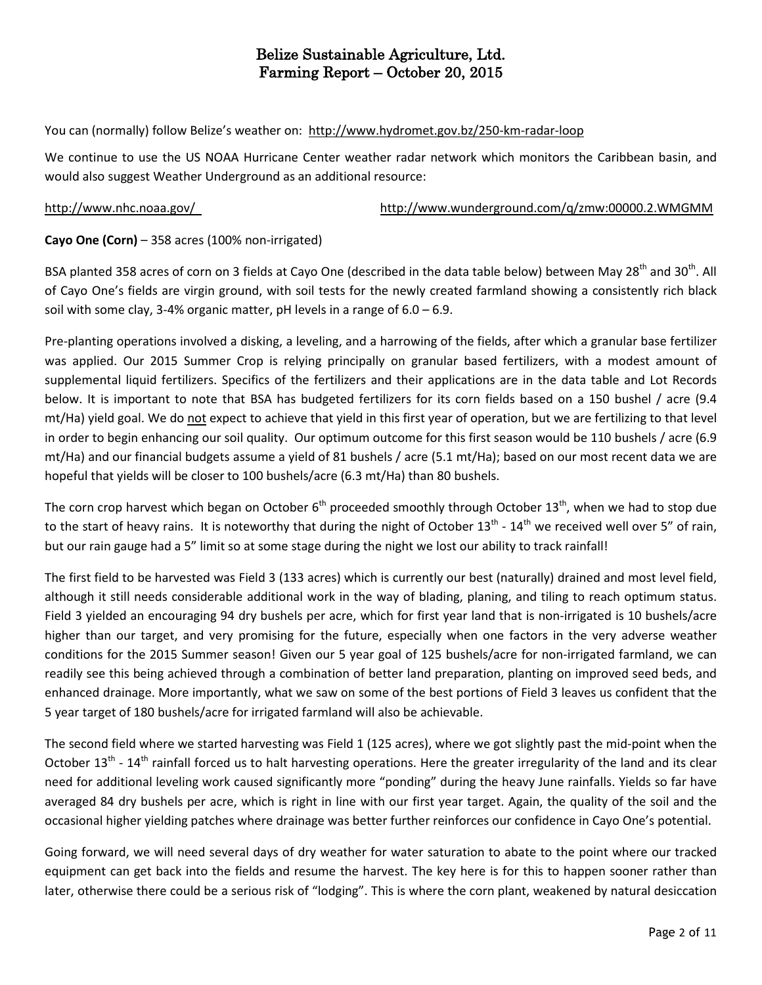You can (normally) follow Belize's weather on: <http://www.hydromet.gov.bz/250-km-radar-loop>

We continue to use the US NOAA Hurricane Center weather radar network which monitors the Caribbean basin, and would also suggest Weather Underground as an additional resource:

<http://www.nhc.noaa.gov/><http://www.wunderground.com/q/zmw:00000.2.WMGMM>

### **Cayo One (Corn)** – 358 acres (100% non-irrigated)

BSA planted 358 acres of corn on 3 fields at Cayo One (described in the data table below) between May 28<sup>th</sup> and 30<sup>th</sup>. All of Cayo One's fields are virgin ground, with soil tests for the newly created farmland showing a consistently rich black soil with some clay, 3-4% organic matter, pH levels in a range of  $6.0 - 6.9$ .

Pre-planting operations involved a disking, a leveling, and a harrowing of the fields, after which a granular base fertilizer was applied. Our 2015 Summer Crop is relying principally on granular based fertilizers, with a modest amount of supplemental liquid fertilizers. Specifics of the fertilizers and their applications are in the data table and Lot Records below. It is important to note that BSA has budgeted fertilizers for its corn fields based on a 150 bushel / acre (9.4 mt/Ha) yield goal. We do not expect to achieve that yield in this first year of operation, but we are fertilizing to that level in order to begin enhancing our soil quality. Our optimum outcome for this first season would be 110 bushels / acre (6.9 mt/Ha) and our financial budgets assume a yield of 81 bushels / acre (5.1 mt/Ha); based on our most recent data we are hopeful that yields will be closer to 100 bushels/acre (6.3 mt/Ha) than 80 bushels.

The corn crop harvest which began on October 6<sup>th</sup> proceeded smoothly through October 13<sup>th</sup>, when we had to stop due to the start of heavy rains. It is noteworthy that during the night of October 13<sup>th</sup> - 14<sup>th</sup> we received well over 5" of rain, but our rain gauge had a 5" limit so at some stage during the night we lost our ability to track rainfall!

The first field to be harvested was Field 3 (133 acres) which is currently our best (naturally) drained and most level field, although it still needs considerable additional work in the way of blading, planing, and tiling to reach optimum status. Field 3 yielded an encouraging 94 dry bushels per acre, which for first year land that is non-irrigated is 10 bushels/acre higher than our target, and very promising for the future, especially when one factors in the very adverse weather conditions for the 2015 Summer season! Given our 5 year goal of 125 bushels/acre for non-irrigated farmland, we can readily see this being achieved through a combination of better land preparation, planting on improved seed beds, and enhanced drainage. More importantly, what we saw on some of the best portions of Field 3 leaves us confident that the 5 year target of 180 bushels/acre for irrigated farmland will also be achievable.

The second field where we started harvesting was Field 1 (125 acres), where we got slightly past the mid-point when the October 13<sup>th</sup> - 14<sup>th</sup> rainfall forced us to halt harvesting operations. Here the greater irregularity of the land and its clear need for additional leveling work caused significantly more "ponding" during the heavy June rainfalls. Yields so far have averaged 84 dry bushels per acre, which is right in line with our first year target. Again, the quality of the soil and the occasional higher yielding patches where drainage was better further reinforces our confidence in Cayo One's potential.

Going forward, we will need several days of dry weather for water saturation to abate to the point where our tracked equipment can get back into the fields and resume the harvest. The key here is for this to happen sooner rather than later, otherwise there could be a serious risk of "lodging". This is where the corn plant, weakened by natural desiccation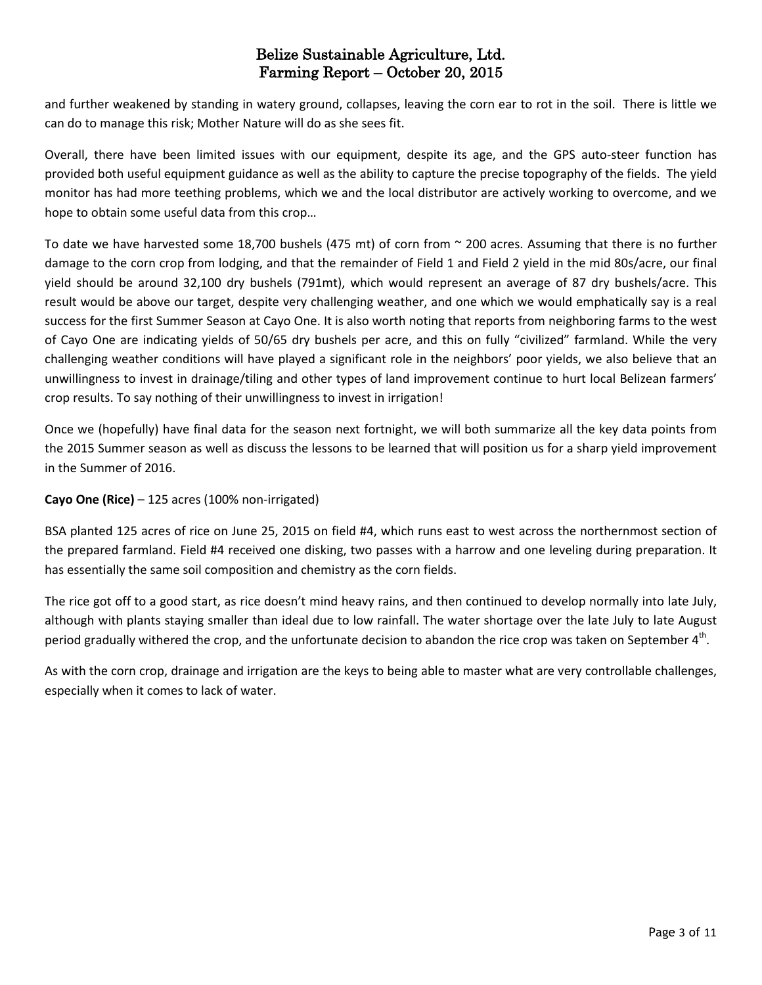and further weakened by standing in watery ground, collapses, leaving the corn ear to rot in the soil. There is little we can do to manage this risk; Mother Nature will do as she sees fit.

Overall, there have been limited issues with our equipment, despite its age, and the GPS auto-steer function has provided both useful equipment guidance as well as the ability to capture the precise topography of the fields. The yield monitor has had more teething problems, which we and the local distributor are actively working to overcome, and we hope to obtain some useful data from this crop…

To date we have harvested some 18,700 bushels (475 mt) of corn from  $\sim$  200 acres. Assuming that there is no further damage to the corn crop from lodging, and that the remainder of Field 1 and Field 2 yield in the mid 80s/acre, our final yield should be around 32,100 dry bushels (791mt), which would represent an average of 87 dry bushels/acre. This result would be above our target, despite very challenging weather, and one which we would emphatically say is a real success for the first Summer Season at Cayo One. It is also worth noting that reports from neighboring farms to the west of Cayo One are indicating yields of 50/65 dry bushels per acre, and this on fully "civilized" farmland. While the very challenging weather conditions will have played a significant role in the neighbors' poor yields, we also believe that an unwillingness to invest in drainage/tiling and other types of land improvement continue to hurt local Belizean farmers' crop results. To say nothing of their unwillingness to invest in irrigation!

Once we (hopefully) have final data for the season next fortnight, we will both summarize all the key data points from the 2015 Summer season as well as discuss the lessons to be learned that will position us for a sharp yield improvement in the Summer of 2016.

### **Cayo One (Rice)** – 125 acres (100% non-irrigated)

BSA planted 125 acres of rice on June 25, 2015 on field #4, which runs east to west across the northernmost section of the prepared farmland. Field #4 received one disking, two passes with a harrow and one leveling during preparation. It has essentially the same soil composition and chemistry as the corn fields.

The rice got off to a good start, as rice doesn't mind heavy rains, and then continued to develop normally into late July, although with plants staying smaller than ideal due to low rainfall. The water shortage over the late July to late August period gradually withered the crop, and the unfortunate decision to abandon the rice crop was taken on September 4<sup>th</sup>.

As with the corn crop, drainage and irrigation are the keys to being able to master what are very controllable challenges, especially when it comes to lack of water.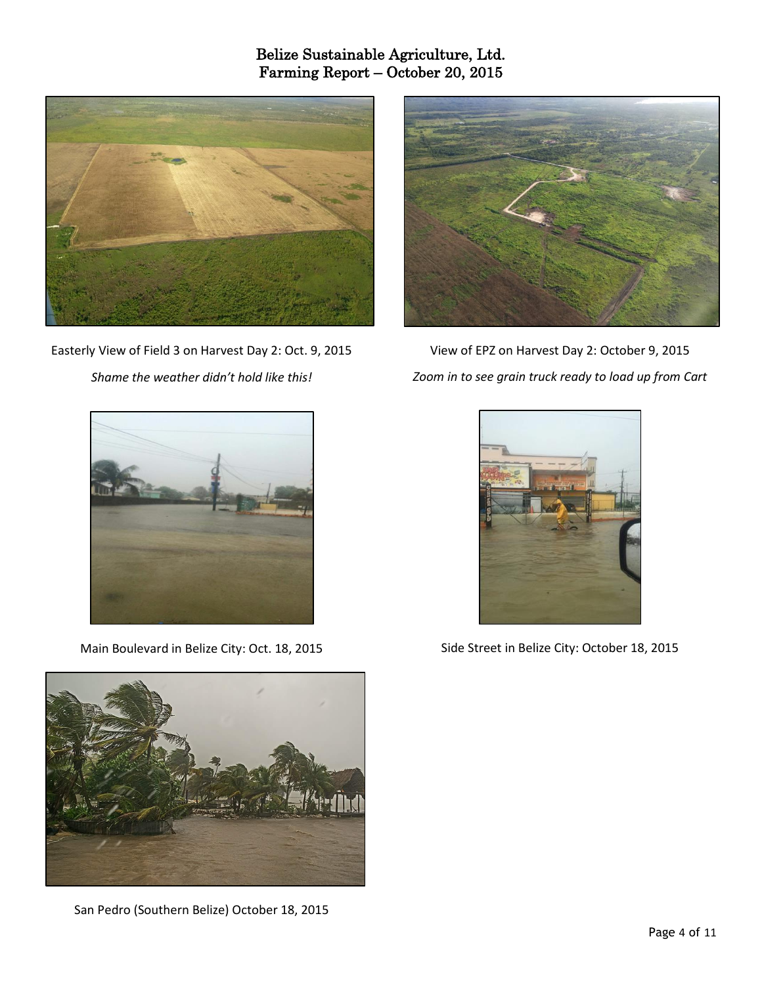

Easterly View of Field 3 on Harvest Day 2: Oct. 9, 2015 *Shame the weather didn't hold like this!*



View of EPZ on Harvest Day 2: October 9, 2015 *Zoom in to see grain truck ready to load up from Cart*



Main Boulevard in Belize City: Oct. 18, 2015



San Pedro (Southern Belize) October 18, 2015



Side Street in Belize City: October 18, 2015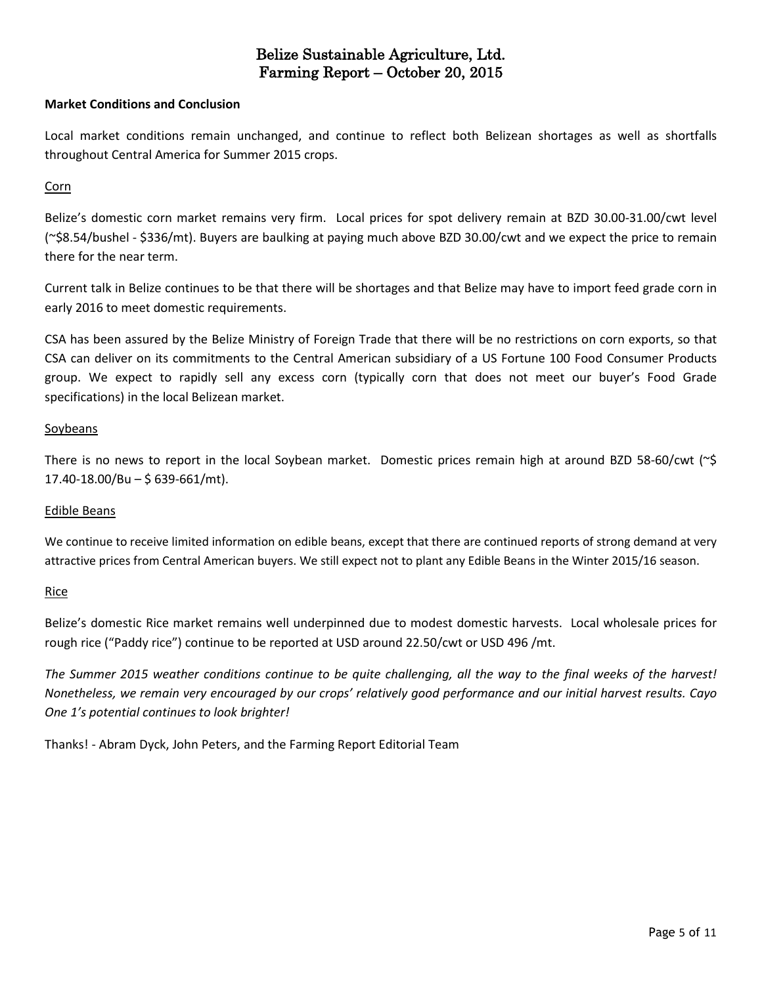#### **Market Conditions and Conclusion**

Local market conditions remain unchanged, and continue to reflect both Belizean shortages as well as shortfalls throughout Central America for Summer 2015 crops.

#### Corn

Belize's domestic corn market remains very firm. Local prices for spot delivery remain at BZD 30.00-31.00/cwt level (~\$8.54/bushel - \$336/mt). Buyers are baulking at paying much above BZD 30.00/cwt and we expect the price to remain there for the near term.

Current talk in Belize continues to be that there will be shortages and that Belize may have to import feed grade corn in early 2016 to meet domestic requirements.

CSA has been assured by the Belize Ministry of Foreign Trade that there will be no restrictions on corn exports, so that CSA can deliver on its commitments to the Central American subsidiary of a US Fortune 100 Food Consumer Products group. We expect to rapidly sell any excess corn (typically corn that does not meet our buyer's Food Grade specifications) in the local Belizean market.

#### **Soybeans**

There is no news to report in the local Soybean market. Domestic prices remain high at around BZD 58-60/cwt (~\$ 17.40-18.00/Bu – \$ 639-661/mt).

#### Edible Beans

We continue to receive limited information on edible beans, except that there are continued reports of strong demand at very attractive prices from Central American buyers. We still expect not to plant any Edible Beans in the Winter 2015/16 season.

#### Rice

Belize's domestic Rice market remains well underpinned due to modest domestic harvests. Local wholesale prices for rough rice ("Paddy rice") continue to be reported at USD around 22.50/cwt or USD 496 /mt.

The Summer 2015 weather conditions continue to be quite challenging, all the way to the final weeks of the harvest! Nonetheless, we remain very encouraged by our crops' relatively good performance and our initial harvest results. Cayo *One 1's potential continues to look brighter!*

Thanks! - Abram Dyck, John Peters, and the Farming Report Editorial Team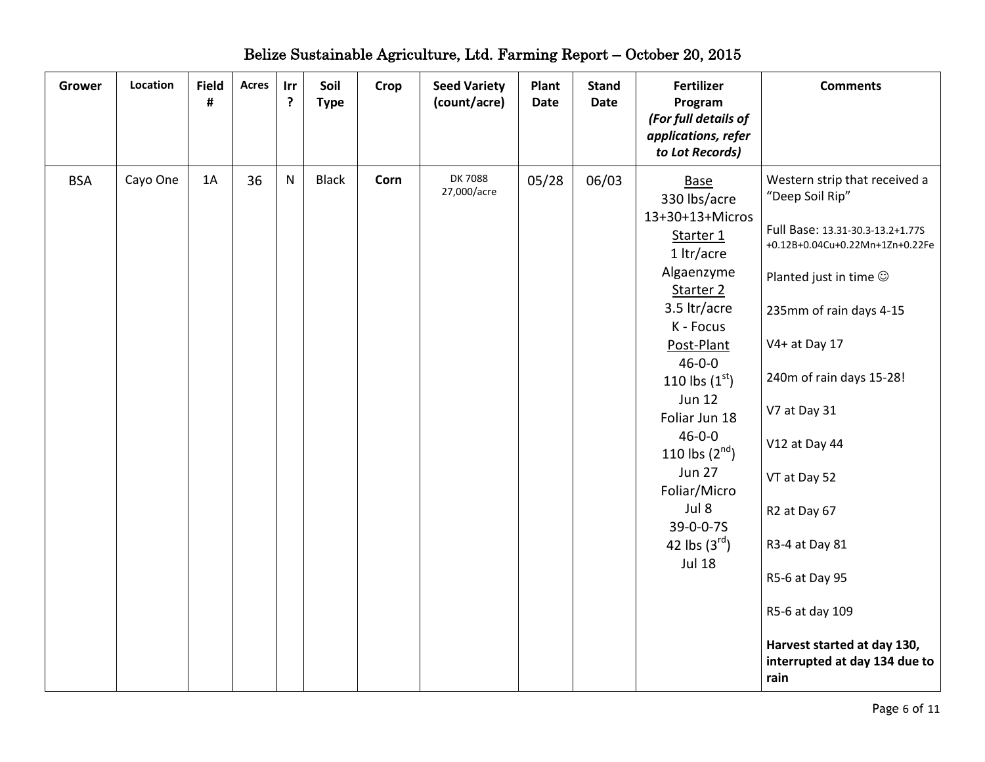| <b>Grower</b> | Location | <b>Field</b><br># | <b>Acres</b> | Irr<br>?     | Soil<br><b>Type</b> | Crop | <b>Seed Variety</b><br>(count/acre) | Plant<br><b>Date</b> | <b>Stand</b><br>Date | <b>Fertilizer</b><br>Program<br>(For full details of<br>applications, refer<br>to Lot Records)                                                                                                                                                                                                                                                                            | <b>Comments</b>                                                                                                                                                                                                                                                                                                                                                                                                                 |
|---------------|----------|-------------------|--------------|--------------|---------------------|------|-------------------------------------|----------------------|----------------------|---------------------------------------------------------------------------------------------------------------------------------------------------------------------------------------------------------------------------------------------------------------------------------------------------------------------------------------------------------------------------|---------------------------------------------------------------------------------------------------------------------------------------------------------------------------------------------------------------------------------------------------------------------------------------------------------------------------------------------------------------------------------------------------------------------------------|
| <b>BSA</b>    | Cayo One | 1A                | 36           | $\mathsf{N}$ | <b>Black</b>        | Corn | DK 7088<br>27,000/acre              | 05/28                | 06/03                | <b>Base</b><br>330 lbs/acre<br>13+30+13+Micros<br>Starter 1<br>1 ltr/acre<br>Algaenzyme<br>Starter <sub>2</sub><br>3.5 ltr/acre<br>K - Focus<br>Post-Plant<br>$46 - 0 - 0$<br>110 lbs $(1^{\rm st})$<br><b>Jun 12</b><br>Foliar Jun 18<br>$46 - 0 - 0$<br>110 lbs $(2^{nd})$<br><b>Jun 27</b><br>Foliar/Micro<br>Jul 8<br>39-0-0-7S<br>42 lbs $(3^{rd})$<br><b>Jul 18</b> | Western strip that received a<br>"Deep Soil Rip"<br>Full Base: 13.31-30.3-13.2+1.77S<br>+0.12B+0.04Cu+0.22Mn+1Zn+0.22Fe<br>Planted just in time $\odot$<br>235mm of rain days 4-15<br>V4+ at Day 17<br>240m of rain days 15-28!<br>V7 at Day 31<br>V12 at Day 44<br>VT at Day 52<br>R2 at Day 67<br>R3-4 at Day 81<br>R5-6 at Day 95<br>R5-6 at day 109<br>Harvest started at day 130,<br>interrupted at day 134 due to<br>rain |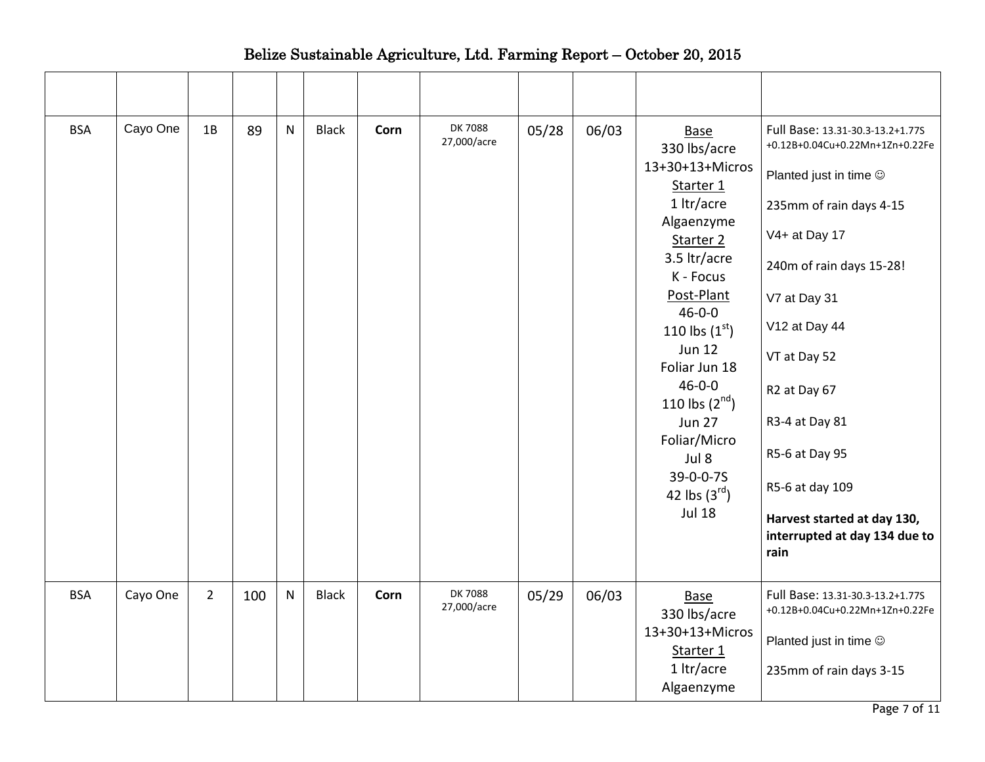| <b>BSA</b> | Cayo One | 1B             | 89  | $\mathsf{N}$ | <b>Black</b> | Corn | <b>DK7088</b><br>27,000/acre | 05/28 | 06/03 | Base<br>330 lbs/acre               | Full Base: 13.31-30.3-13.2+1.77S<br>+0.12B+0.04Cu+0.22Mn+1Zn+0.22Fe  |
|------------|----------|----------------|-----|--------------|--------------|------|------------------------------|-------|-------|------------------------------------|----------------------------------------------------------------------|
|            |          |                |     |              |              |      |                              |       |       | 13+30+13+Micros<br>Starter 1       | Planted just in time $\odot$                                         |
|            |          |                |     |              |              |      |                              |       |       | 1 ltr/acre                         | 235mm of rain days 4-15                                              |
|            |          |                |     |              |              |      |                              |       |       | Algaenzyme<br>Starter 2            | V4+ at Day 17                                                        |
|            |          |                |     |              |              |      |                              |       |       | 3.5 ltr/acre<br>K - Focus          | 240m of rain days 15-28!                                             |
|            |          |                |     |              |              |      |                              |       |       | Post-Plant<br>$46 - 0 - 0$         | V7 at Day 31                                                         |
|            |          |                |     |              |              |      |                              |       |       | 110 lbs $(1^{\rm st})$             | V12 at Day 44                                                        |
|            |          |                |     |              |              |      |                              |       |       | <b>Jun 12</b><br>Foliar Jun 18     | VT at Day 52                                                         |
|            |          |                |     |              |              |      |                              |       |       | $46 - 0 - 0$<br>110 lbs $(2^{nd})$ | R2 at Day 67                                                         |
|            |          |                |     |              |              |      |                              |       |       | <b>Jun 27</b>                      | R3-4 at Day 81                                                       |
|            |          |                |     |              |              |      |                              |       |       | Foliar/Micro<br>Jul 8              | R5-6 at Day 95                                                       |
|            |          |                |     |              |              |      |                              |       |       | 39-0-0-7S<br>42 lbs $(3^{rd})$     | R5-6 at day 109                                                      |
|            |          |                |     |              |              |      |                              |       |       | <b>Jul 18</b>                      | Harvest started at day 130,<br>interrupted at day 134 due to<br>rain |
|            |          |                |     |              |              |      |                              |       |       |                                    |                                                                      |
| <b>BSA</b> | Cayo One | $\overline{2}$ | 100 | ${\sf N}$    | <b>Black</b> | Corn | <b>DK7088</b><br>27,000/acre | 05/29 | 06/03 | <b>Base</b><br>330 lbs/acre        | Full Base: 13.31-30.3-13.2+1.77S<br>+0.12B+0.04Cu+0.22Mn+1Zn+0.22Fe  |
|            |          |                |     |              |              |      |                              |       |       | 13+30+13+Micros<br>Starter 1       | Planted just in time ©                                               |
|            |          |                |     |              |              |      |                              |       |       | 1 ltr/acre<br>Algaenzyme           | 235mm of rain days 3-15                                              |
|            |          |                |     |              |              |      |                              |       |       |                                    |                                                                      |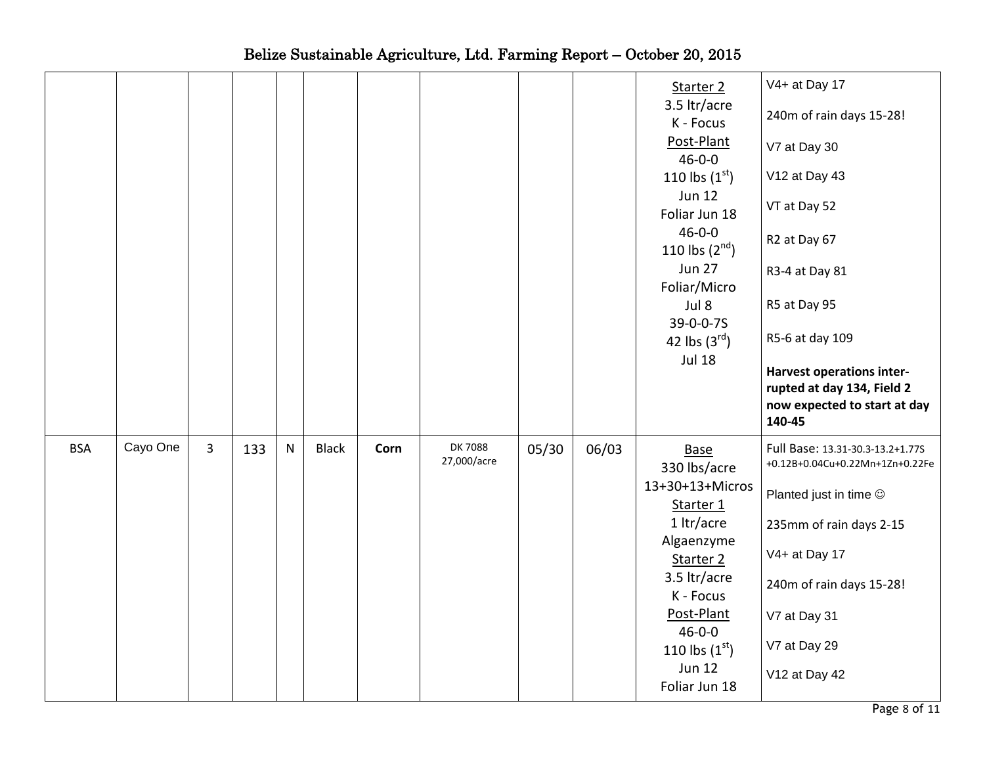|            |          |                |     |           |              |      |                              |       |       | Starter 2<br>3.5 ltr/acre<br>K - Focus<br>Post-Plant<br>$46 - 0 - 0$<br>110 lbs $(1^{st})$<br><b>Jun 12</b><br>Foliar Jun 18<br>$46 - 0 - 0$<br>110 lbs $(2^{nd})$<br><b>Jun 27</b><br>Foliar/Micro<br>Jul 8<br>39-0-0-7S<br>42 lbs $(3^{rd})$<br><b>Jul 18</b> | V4+ at Day 17<br>240m of rain days 15-28!<br>V7 at Day 30<br>V12 at Day 43<br>VT at Day 52<br>R2 at Day 67<br>R3-4 at Day 81<br>R5 at Day 95<br>R5-6 at day 109<br><b>Harvest operations inter-</b><br>rupted at day 134, Field 2<br>now expected to start at day<br>140-45 |
|------------|----------|----------------|-----|-----------|--------------|------|------------------------------|-------|-------|-----------------------------------------------------------------------------------------------------------------------------------------------------------------------------------------------------------------------------------------------------------------|-----------------------------------------------------------------------------------------------------------------------------------------------------------------------------------------------------------------------------------------------------------------------------|
| <b>BSA</b> | Cayo One | $\overline{3}$ | 133 | ${\sf N}$ | <b>Black</b> | Corn | <b>DK7088</b><br>27,000/acre | 05/30 | 06/03 | <b>Base</b><br>330 lbs/acre<br>13+30+13+Micros                                                                                                                                                                                                                  | Full Base: 13.31-30.3-13.2+1.77S<br>+0.12B+0.04Cu+0.22Mn+1Zn+0.22Fe                                                                                                                                                                                                         |
|            |          |                |     |           |              |      |                              |       |       | Starter 1                                                                                                                                                                                                                                                       | Planted just in time $\odot$                                                                                                                                                                                                                                                |
|            |          |                |     |           |              |      |                              |       |       | 1 ltr/acre<br>Algaenzyme                                                                                                                                                                                                                                        | 235mm of rain days 2-15                                                                                                                                                                                                                                                     |
|            |          |                |     |           |              |      |                              |       |       |                                                                                                                                                                                                                                                                 |                                                                                                                                                                                                                                                                             |
|            |          |                |     |           |              |      |                              |       |       | Starter 2                                                                                                                                                                                                                                                       | V4+ at Day 17                                                                                                                                                                                                                                                               |
|            |          |                |     |           |              |      |                              |       |       | 3.5 ltr/acre                                                                                                                                                                                                                                                    | 240m of rain days 15-28!                                                                                                                                                                                                                                                    |
|            |          |                |     |           |              |      |                              |       |       | K - Focus<br>Post-Plant                                                                                                                                                                                                                                         | V7 at Day 31                                                                                                                                                                                                                                                                |
|            |          |                |     |           |              |      |                              |       |       | $46 - 0 - 0$                                                                                                                                                                                                                                                    | V7 at Day 29                                                                                                                                                                                                                                                                |
|            |          |                |     |           |              |      |                              |       |       | 110 lbs $(1^{st})$<br><b>Jun 12</b><br>Foliar Jun 18                                                                                                                                                                                                            | V12 at Day 42                                                                                                                                                                                                                                                               |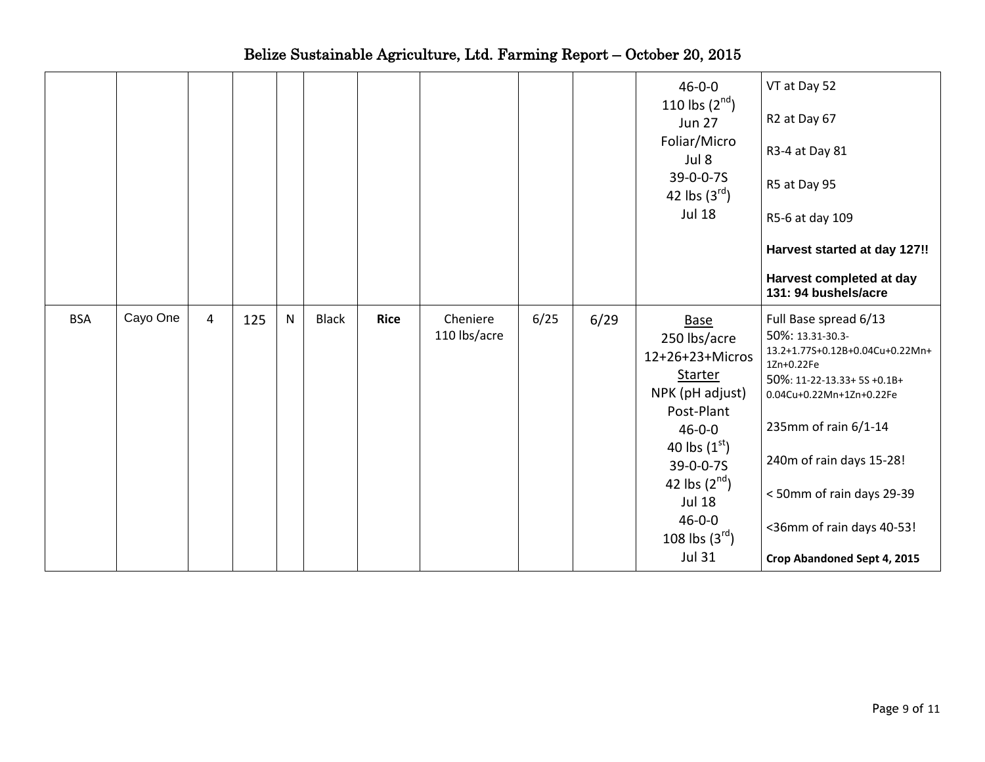|            |          |                |     |   |              |             |                          |      |      | $46 - 0 - 0$<br>110 lbs $(2^{nd})$<br><b>Jun 27</b><br>Foliar/Micro<br>Jul 8<br>39-0-0-7S<br>42 lbs $(3^{rd})$<br><b>Jul 18</b>                                                                                                                  | VT at Day 52<br>R2 at Day 67<br>R3-4 at Day 81<br>R5 at Day 95<br>R5-6 at day 109<br>Harvest started at day 127!!<br>Harvest completed at day<br>131: 94 bushels/acre                                                                                                                             |
|------------|----------|----------------|-----|---|--------------|-------------|--------------------------|------|------|--------------------------------------------------------------------------------------------------------------------------------------------------------------------------------------------------------------------------------------------------|---------------------------------------------------------------------------------------------------------------------------------------------------------------------------------------------------------------------------------------------------------------------------------------------------|
| <b>BSA</b> | Cayo One | $\overline{4}$ | 125 | N | <b>Black</b> | <b>Rice</b> | Cheniere<br>110 lbs/acre | 6/25 | 6/29 | <b>Base</b><br>250 lbs/acre<br>12+26+23+Micros<br><b>Starter</b><br>NPK (pH adjust)<br>Post-Plant<br>$46 - 0 - 0$<br>40 lbs $(1^{st})$<br>39-0-0-7S<br>42 lbs $(2^{nd})$<br><b>Jul 18</b><br>$46 - 0 - 0$<br>108 lbs $(3^{rd})$<br><b>Jul 31</b> | Full Base spread 6/13<br>50%: 13.31-30.3-<br>13.2+1.77S+0.12B+0.04Cu+0.22Mn+<br>1Zn+0.22Fe<br>50%: 11-22-13.33+ 5S +0.1B+<br>0.04Cu+0.22Mn+1Zn+0.22Fe<br>235mm of rain 6/1-14<br>240m of rain days 15-28!<br><50mm of rain days 29-39<br><36mm of rain days 40-53!<br>Crop Abandoned Sept 4, 2015 |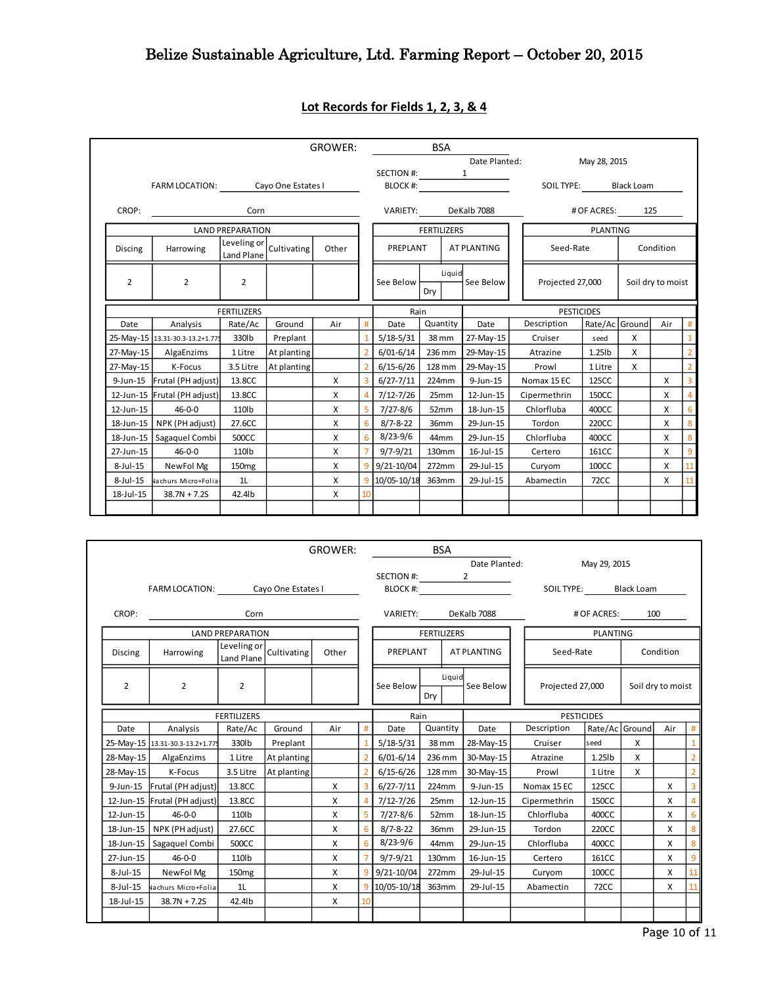|                |                                                             |                         |             | <b>GROWER:</b> |                |                      | <b>BSA</b>         |                     |                  |                       |                 |   |                   |                |
|----------------|-------------------------------------------------------------|-------------------------|-------------|----------------|----------------|----------------------|--------------------|---------------------|------------------|-----------------------|-----------------|---|-------------------|----------------|
|                |                                                             |                         |             |                |                |                      |                    |                     | Date Planted:    |                       | May 28, 2015    |   |                   |                |
|                |                                                             |                         |             |                |                | SECTION #: $1$       |                    |                     |                  |                       |                 |   |                   |                |
|                | FARM LOCATION: Cayo One Estates I                           |                         |             |                |                | BLOCK #:             |                    |                     |                  | SOIL TYPE: Black Loam |                 |   |                   |                |
| CROP:          |                                                             | Corn                    |             |                |                | VARIETY: DeKalb 7088 |                    |                     |                  |                       | # OF ACRES: 125 |   |                   |                |
|                |                                                             | <b>LAND PREPARATION</b> |             |                |                |                      | <b>FERTILIZERS</b> |                     |                  |                       | <b>PLANTING</b> |   |                   |                |
| <b>Discing</b> | Leveling or Cultivating<br>Other<br>Harrowing<br>Land Plane |                         |             |                |                | PREPLANT             |                    |                     | AT PLANTING      | Seed-Rate             |                 |   | Condition         |                |
| 2              | $\overline{2}$                                              | $\overline{2}$          |             |                |                | See Below            | Drv                | Liquid<br>See Below |                  | Projected 27,000      |                 |   | Soil dry to moist |                |
|                |                                                             | <b>FERTILIZERS</b>      |             |                |                | Rain                 |                    |                     |                  | <b>PESTICIDES</b>     |                 |   |                   |                |
| Date           | Analysis                                                    | Rate/Ac                 | Ground      | Air            | #              | Date                 | Quantity           |                     | Date             | Description           | Rate/Ac Ground  |   | Air               | #              |
|                | 25-May-15 13.31-30.3-13.2+1.779                             | 330lb                   | Preplant    |                |                | $5/18-5/31$          | 38 mm              |                     | 27-May-15        | Cruiser               | seed            | X |                   | $\mathbf{1}$   |
| 27-May-15      | AlgaEnzims                                                  | 1 Litre                 | At planting |                |                | $6/01 - 6/14$        |                    |                     | 236 mm 29-May-15 | Atrazine              | 1.25lb          | X |                   | $\overline{2}$ |
| 27-May-15      | K-Focus                                                     | 3.5 Litre               | At planting |                |                | $6/15 - 6/26$        | 128 mm             |                     | 29-May-15        | Prowl                 | 1 Litre         | X |                   | $\overline{2}$ |
|                | 9-Jun-15 Frutal (PH adjust)                                 | 13.8CC                  |             | X              |                | $6/27 - 7/11$        | 224mm              |                     | $9$ -Jun-15      | Nomax 15 EC           | 125CC           |   | X                 | $\overline{3}$ |
|                | 12-Jun-15 Frutal (PH adjust)                                | 13.8CC                  |             | X              | $\overline{A}$ | 7/12-7/26            | 25mm               |                     | 12-Jun-15        | Cipermethrin          | 150CC           |   | X                 | $\overline{4}$ |
| 12-Jun-15      | $46 - 0 - 0$                                                | 110lb                   |             | X              |                | $7/27 - 8/6$         | 52mm               |                     | 18-Jun-15        | Chlorfluba            | 400CC           |   | X                 | 6              |
|                | 18-Jun-15 NPK (PH adjust)                                   | 27.6CC                  |             | X              | 6              | $8/7 - 8 - 22$       | 36mm               |                     | 29-Jun-15        | Tordon                | 220CC           |   | X                 | 8              |
|                | 18-Jun-15 Sagaquel Combi                                    | 500CC                   |             | X              | 6              | $8/23 - 9/6$         | 44mm               |                     | 29-Jun-15        | Chlorfluba            | 400CC           |   | X                 | 8              |
| 27-Jun-15      | $46 - 0 - 0$                                                | 110lb                   |             | X              |                | $9/7 - 9/21$         | 130mm              |                     | 16-Jul-15        | Certero               | 161CC           |   | X                 | 9              |
| 8-Jul-15       | NewFol Mg                                                   | 150 <sub>mg</sub>       |             | X              | $\mathbf{q}$   | $9/21 - 10/04$       | 272mm              |                     | 29-Jul-15        | Curyom                | 100CC           |   | X                 | 11             |
| $8$ -Jul-15    | Vachurs Micro+Folia                                         | 1 <sub>L</sub>          |             | X              |                | 10/05-10/18          | 363mm              |                     | 29-Jul-15        | Abamectin             | 72CC            |   | X                 | $11\,$         |
| 18-Jul-15      | $38.7N + 7.2S$                                              | 42.4lb                  |             | X              |                |                      |                    |                     |                  |                       |                 |   |                   |                |
|                |                                                             |                         |             |                |                |                      |                    |                     |                  |                       |                 |   |                   |                |

## **Lot Records for Fields 1, 2, 3, & 4**

|             |                                 | <b>GROWER:</b>            |                    |       | <b>BSA</b> |                    |          |        |                    |  |                   |                 |                   |                   |                |
|-------------|---------------------------------|---------------------------|--------------------|-------|------------|--------------------|----------|--------|--------------------|--|-------------------|-----------------|-------------------|-------------------|----------------|
|             |                                 |                           |                    |       |            | Date Planted:      |          |        |                    |  | May 29, 2015      |                 |                   |                   |                |
|             |                                 |                           |                    |       |            | SECTION #:<br>2    |          |        |                    |  |                   |                 |                   |                   |                |
|             | <b>FARM LOCATION:</b>           |                           | Cayo One Estates I |       |            | BLOCK #:           |          |        |                    |  | SOIL TYPE:        |                 | <b>Black Loam</b> |                   |                |
| CROP:       |                                 | Corn                      |                    |       |            | <b>VARIETY:</b>    |          |        | DeKalb 7088        |  |                   | # OF ACRES:     | 100               |                   |                |
|             |                                 | <b>LAND PREPARATION</b>   |                    |       |            | <b>FERTILIZERS</b> |          |        |                    |  |                   | <b>PLANTING</b> |                   |                   |                |
| Discing     | Harrowing                       | Leveling or<br>Land Plane | Cultivating        | Other |            | PREPLANT           |          |        | <b>AT PLANTING</b> |  | Seed-Rate         |                 |                   | Condition         |                |
| 2           | $\overline{2}$<br>2             |                           |                    |       |            | See Below          |          | Liquid | See Below          |  | Projected 27,000  |                 |                   | Soil dry to moist |                |
|             |                                 |                           |                    |       |            |                    | Dry      |        |                    |  |                   |                 |                   |                   |                |
|             |                                 | <b>FERTILIZERS</b>        |                    |       |            | Rain               |          |        |                    |  | <b>PESTICIDES</b> |                 |                   |                   |                |
| Date        | Analysis                        | Rate/Ac                   | Ground             | Air   | #          | Date               | Quantity |        | Date               |  | Description       | Rate/Ac Ground  |                   | Air               | #              |
|             | 25-May-15 13.31-30.3-13.2+1.779 | 330lb                     | Preplant           |       |            | $5/18-5/31$        | 38 mm    |        | 28-May-15          |  | Cruiser           | seed            | x                 |                   |                |
| 28-May-15   | AlgaEnzims                      | 1 Litre                   | At planting        |       |            | $6/01 - 6/14$      | 236 mm   |        | 30-May-15          |  | Atrazine          | $1.25$ lb       | X                 |                   | $\overline{2}$ |
| 28-May-15   | K-Focus                         | 3.5 Litre                 | At planting        |       |            | $6/15 - 6/26$      | 128 mm   |        | 30-May-15          |  | Prowl             | 1 Litre         | x                 |                   | $\overline{2}$ |
|             | 9-Jun-15 Frutal (PH adjust)     | 13.8CC                    |                    | X     |            | $6/27 - 7/11$      | 224mm    |        | 9-Jun-15           |  | Nomax 15 EC       | 125CC           |                   | X                 | $\overline{3}$ |
|             | 12-Jun-15 Frutal (PH adjust)    | 13.8CC                    |                    | X     |            | $7/12 - 7/26$      | 25mm     |        | 12-Jun-15          |  | Cipermethrin      | 150CC           |                   | X                 | $\overline{a}$ |
| 12-Jun-15   | $46 - 0 - 0$                    | 110lb                     |                    | X     |            | $7/27 - 8/6$       | 52mm     |        | 18-Jun-15          |  | Chlorfluba        | 400CC           |                   | X                 | 6              |
| 18-Jun-15   | NPK (PH adjust)                 | 27.6CC                    |                    | X     |            | $8/7 - 8 - 22$     | 36mm     |        | 29-Jun-15          |  | Tordon            | 220CC           |                   | X                 | 8              |
|             | 18-Jun-15   Sagaquel Combi      | 500CC                     |                    | X     | 6          | $8/23 - 9/6$       | 44mm     |        | 29-Jun-15          |  | Chlorfluba        | 400CC           |                   | X                 | 8              |
| 27-Jun-15   | $46 - 0 - 0$                    | 110lb                     |                    | X     |            | $9/7 - 9/21$       | 130mm    |        | 16-Jun-15          |  | Certero           | 161CC           |                   | X                 | 9              |
| $8$ -Jul-15 | NewFol Mg                       | 150 <sub>mg</sub>         |                    | X     |            | 9/21-10/04         | 272mm    |        | 29-Jul-15          |  | Curyom            | 100CC           |                   | X                 | 11             |
| 8-Jul-15    | Nachurs Micro+Folia             | 1L                        |                    | X     |            | 10/05-10/18        | 363mm    |        | 29-Jul-15          |  | Abamectin         | <b>72CC</b>     |                   | X                 | 11             |
| 18-Jul-15   | $38.7N + 7.2S$                  | 42.4lb                    |                    | X     |            |                    |          |        |                    |  |                   |                 |                   |                   |                |
|             |                                 |                           |                    |       |            |                    |          |        |                    |  |                   |                 |                   |                   |                |